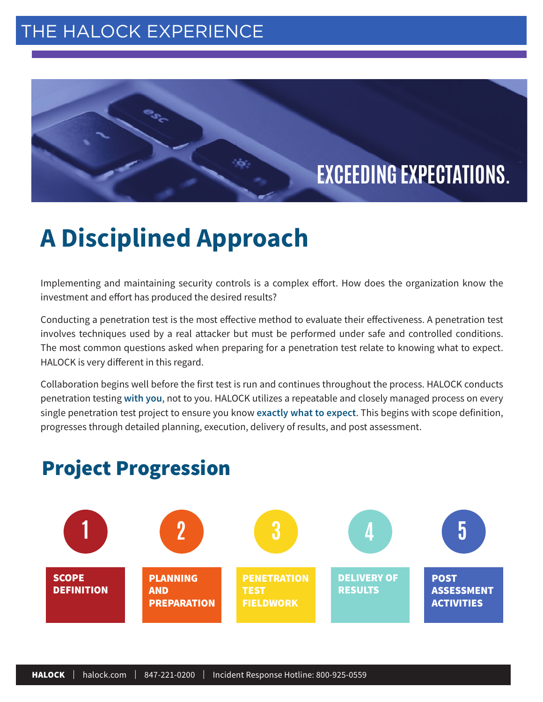### [THE HALOCK EXPERIENCE](https://cmap.amp.vg/xl/vct34hg1ei8h)

 $e^{c}$ 

## **EXCEEDING EXPECTATIONS.**

# **A Disciplined Approach**

Implementing and maintaining security controls is a complex effort. How does the organization know the investment and effort has produced the desired results?

Conducting a penetration test is the most effective method to evaluate their effectiveness. A penetration test involves techniques used by a real attacker but must be performed under safe and controlled conditions. The most common questions asked when preparing for a penetration test relate to knowing what to expect. HALOCK is very different in this regard.

Collaboration begins well before the first test is run and continues throughout the process. HALOCK conducts penetration testing **with you**, not to you. HALOCK utilizes a repeatable and closely managed process on every single penetration test project to ensure you know **exactly what to expect**. This begins with scope definition, progresses through detailed planning, execution, delivery of results, and post assessment.



## Project Progression